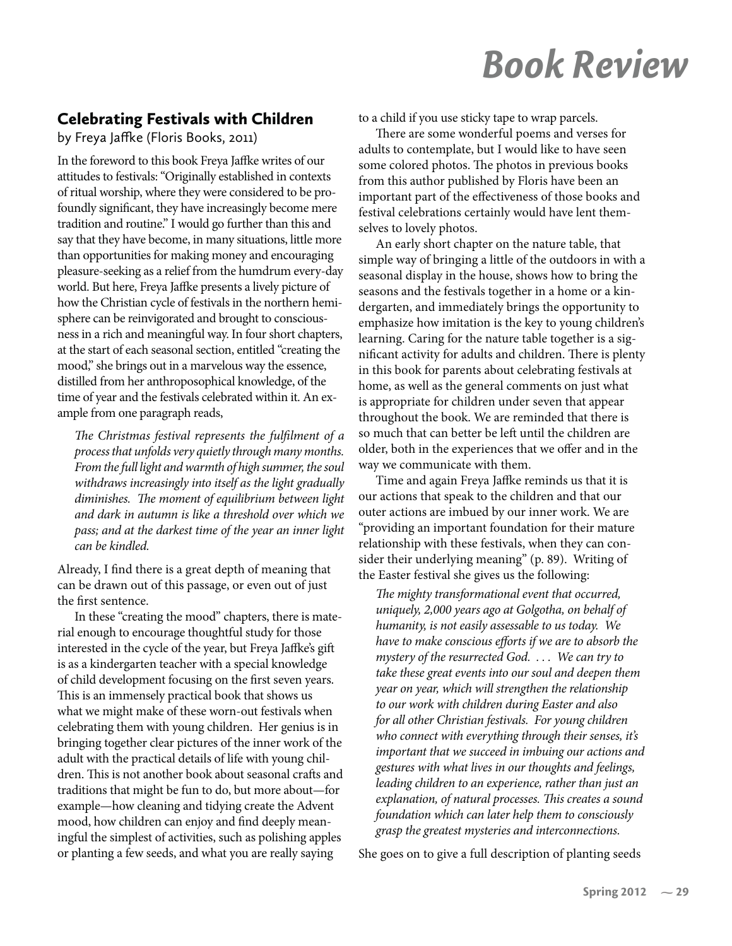## **Book Review**

## **Celebrating Festivals with Children**

by Freya Jaffke (Floris Books, 2011)

In the foreword to this book Freya Jaffke writes of our attitudes to festivals: "Originally established in contexts of ritual worship, where they were considered to be profoundly significant, they have increasingly become mere tradition and routine." I would go further than this and say that they have become, in many situations, little more than opportunities for making money and encouraging pleasure-seeking as a relief from the humdrum every-day world. But here, Freya Jaffke presents a lively picture of how the Christian cycle of festivals in the northern hemisphere can be reinvigorated and brought to consciousness in a rich and meaningful way. In four short chapters, at the start of each seasonal section, entitled "creating the mood," she brings out in a marvelous way the essence, distilled from her anthroposophical knowledge, of the time of year and the festivals celebrated within it. An example from one paragraph reads,

The Christmas festival represents the fulfilment of a process that unfolds very quietly through many months. From the full light and warmth of high summer, the soul withdraws increasingly into itself as the light gradually diminishes. The moment of equilibrium between light and dark in autumn is like a threshold over which we pass; and at the darkest time of the year an inner light can be kindled.

Already, I find there is a great depth of meaning that can be drawn out of this passage, or even out of just the first sentence.

In these "creating the mood" chapters, there is material enough to encourage thoughtful study for those interested in the cycle of the year, but Freya Jaffke's gift is as a kindergarten teacher with a special knowledge of child development focusing on the first seven years. This is an immensely practical book that shows us what we might make of these worn-out festivals when celebrating them with young children. Her genius is in bringing together clear pictures of the inner work of the adult with the practical details of life with young children. This is not another book about seasonal crafts and traditions that might be fun to do, but more about-for example—how cleaning and tidying create the Advent mood, how children can enjoy and find deeply meaningful the simplest of activities, such as polishing apples or planting a few seeds, and what you are really saying

to a child if you use sticky tape to wrap parcels.

There are some wonderful poems and verses for adults to contemplate, but I would like to have seen some colored photos. The photos in previous books from this author published by Floris have been an important part of the effectiveness of those books and festival celebrations certainly would have lent themselves to lovely photos.

An early short chapter on the nature table, that simple way of bringing a little of the outdoors in with a seasonal display in the house, shows how to bring the seasons and the festivals together in a home or a kindergarten, and immediately brings the opportunity to emphasize how imitation is the key to young children's learning. Caring for the nature table together is a significant activity for adults and children. There is plenty in this book for parents about celebrating festivals at home, as well as the general comments on just what is appropriate for children under seven that appear throughout the book. We are reminded that there is so much that can better be left until the children are older, both in the experiences that we offer and in the way we communicate with them.

Time and again Freya Jaffke reminds us that it is our actions that speak to the children and that our outer actions are imbued by our inner work. We are "providing an important foundation for their mature relationship with these festivals, when they can consider their underlying meaning" (p. 89). Writing of the Easter festival she gives us the following:

The mighty transformational event that occurred, uniquely, 2,000 years ago at Golgotha, on behalf of humanity, is not easily assessable to us today. We have to make conscious efforts if we are to absorb the mystery of the resurrected God. ... We can try to take these great events into our soul and deepen them year on year, which will strengthen the relationship to our work with children during Easter and also for all other Christian festivals. For young children who connect with everything through their senses, it's important that we succeed in imbuing our actions and gestures with what lives in our thoughts and feelings, leading children to an experience, rather than just an explanation, of natural processes. This creates a sound foundation which can later help them to consciously grasp the greatest mysteries and interconnections.

She goes on to give a full description of planting seeds